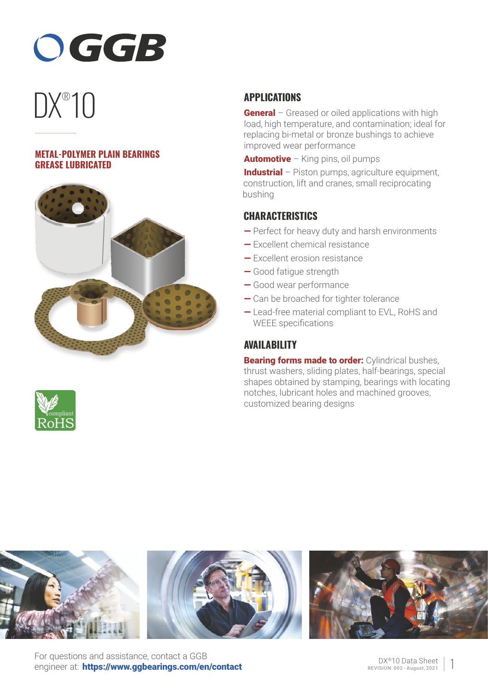

# DX<sup>®</sup>10

### **METAL-POLYMER PLAIN BEARINGS GREASE LUBRICATED**





# **APPLICATIONS**

**General** – Greased or oiled applications with high load, high temperature, and contamination; ideal for replacing bi-metal or bronze bushings to achieve improved wear performance

**Automotive** – King pins, oil pumps

Industrial – Piston pumps, agriculture equipment, construction, lift and cranes, small reciprocating bushing

## **CHARACTERISTICS**

- Perfect for heavy duty and harsh environments
- Excellent chemical resistance
- Excellent erosion resistance
- Good fatigue strength
- Good wear performance
- Can be broached for tighter tolerance
- Lead-free material compliant to EVL, RoHS and WEEE specifications

# **AVAILABILITY**

**Bearing forms made to order:** Cylindrical bushes, thrust washers, sliding plates, half-bearings, special shapes obtained by stamping, bearings with locating notches, lubricant holes and machined grooves, customized bearing designs